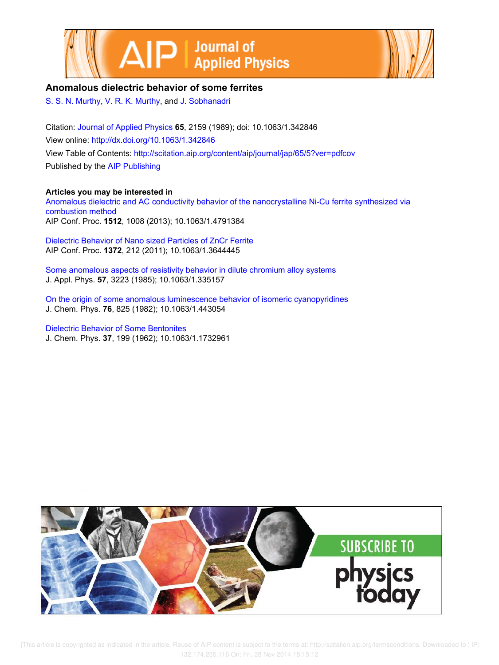



## **Anomalous dielectric behavior of some ferrites**

S. S. N. Murthy, V. R. K. Murthy, and J. Sobhanadri

Citation: Journal of Applied Physics **65**, 2159 (1989); doi: 10.1063/1.342846 View online: http://dx.doi.org/10.1063/1.342846 View Table of Contents: http://scitation.aip.org/content/aip/journal/jap/65/5?ver=pdfcov Published by the AIP Publishing

## **Articles you may be interested in**

Anomalous dielectric and AC conductivity behavior of the nanocrystalline Ni-Cu ferrite synthesized via combustion method AIP Conf. Proc. **1512**, 1008 (2013); 10.1063/1.4791384

Dielectric Behavior of Nano sized Particles of ZnCr Ferrite AIP Conf. Proc. **1372**, 212 (2011); 10.1063/1.3644445

Some anomalous aspects of resistivity behavior in dilute chromium alloy systems J. Appl. Phys. **57**, 3223 (1985); 10.1063/1.335157

On the origin of some anomalous luminescence behavior of isomeric cyanopyridines J. Chem. Phys. **76**, 825 (1982); 10.1063/1.443054

Dielectric Behavior of Some Bentonites J. Chem. Phys. **37**, 199 (1962); 10.1063/1.1732961



[This article is copyrighted as indicated in the article. Reuse of AIP content is subject to the terms at: http://scitation.aip.org/termsconditions. Downloaded to ] IP: 132.174.255.116 On: Fri, 28 Nov 2014 18:15:12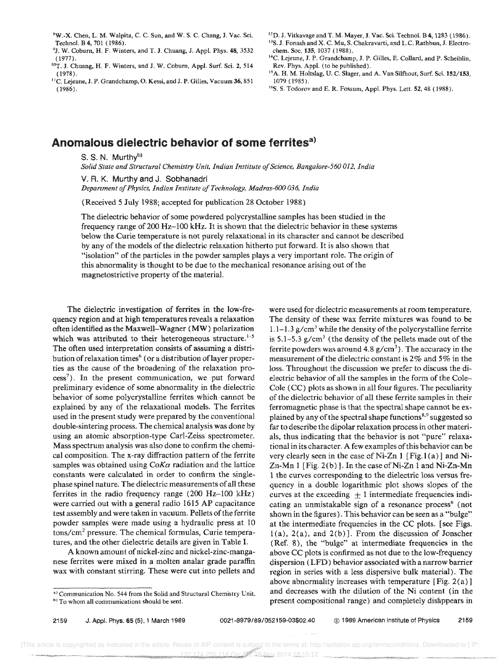'W.-X. Chen, L. M. Walpita, C. C. Sun, and W. S. C. Chang, J. Vac. Sci. Technol. B 4, 701 (1986).

- <sup>9</sup>J. W. Coburn, H. F. Winters, and T. J. Chuang, J. Appl. Phys. 48, 3532 ( 1977).
- <sup>10</sup>T. J. Chuang, H. F. Winters, and J. W. Coburn, Appl. Surf. Sci. 2, 514 (1978).
- <sup>11</sup>C. Lejeune, J. P. Grandchamp, O. Kessi, and J. P. Gilles, Vacuum 36, 851 (1986).
- $^{12}$ D. J. Vitkavage and T. M. Mayer, J. Vac. Sci. Technol. B 4, 1283 (1986). <sup>13</sup>S. J. Fonash and X. C. Mu, S. Chakravarti, and L.C. Rathbun, J. Electrochern. Soc. 135, 1037 (1988).
- <sup>14</sup>C. Lejeune, J. P. Grandchamp, J. P. Gilles, E. Collard, and P. Scheiblin, Rev. Phys. Appl. (to be published).
- <sup>15</sup>A. H. M. Holtslag, U. C. Slager, and A. Van Silfhout, Surf. Sci. 152/153, 1079 (1985).
- <sup>16</sup>S. S. Todorov and E. R. Fossum, Appl. Phys. Lett. **52**, 48 (1988).

## Anomalous dielectric behavior of some ferrites<sup>a)</sup>

S. S. N. Murthy<sup>b)</sup>

*Solid State and Structural Chemistry Unit, Indian Institute of Science, Bangalore-560 012. India* 

V. R. K. Murthy and J. Sobhanadri *Department of Physics, Indian Institute of Technology, Madras-600 036, India* 

(Received 5 July 1988; accepted for pUblication 28 October 1988)

The dielectric behavior of some powdered polycrystalline samples has been studied in the frequency range of 200 Hz-lOO kHz. It is shown that the dielectric behavior in these systems below the Curie temperature is not purely relaxational in its character and cannot be described by any of the models of the dielectric relaxation hitherto put forward. It is also shown that "isolation" of the particles in the powder samples plays a very important role. The origin of this abnormality is thought to be due to the mechanical resonance arising out of the magnetostrictive property of the material.

The dielectric investigation of ferrites in the low-frequency region and at high temperatures reveals a relaxation often identified as the Maxwell-Wagner (MW) polarization which was attributed to their heterogeneous structure.<sup>1-5</sup> The often used interpretation consists of assuming a distribution of relaxation times<sup>6</sup> (or a distribution of layer properties as the cause of the broadening of the relaxation process<sup>7</sup>). In the present communication, we put forward preliminary evidence of some abnormality in the dielectric behavior of some polycrystalline ferrites which cannot be explained by any of the relaxational models. The ferrites used in the present study were prepared by the conventional double-sintering process. The chemical analysis was done by using an atomic absorption-type Carl-Zeiss spectrometer. Mass spectrum analysis was also done to confirm the chemical composition. The x-ray diffraction pattern of the ferrite samples was obtained using  $C_0K\alpha$  radiation and the lattice constants were calculated in order to confirm the singlephase spinel nature. The dielectric measurements of all these ferrites in the radio frequency range  $(200 \text{ Hz}-100 \text{ kHz})$ were carried out with a general radio 1615 AP capacitance test assembly and were taken in vacuum. Pellets of the ferrite powder samples were made using a hydraulic press at 10 tons/cm2 pressure. The chemical formulas, Curie temperatures, and the other dielectric details are given in Table I.

A known amount of nickel-zinc and nickel-zinc-manganese ferrites were mixed in a molten analar grade paraffin wax with constant stirring. These were cut into pellets and

were used for dielectric measurements at room temperature. The density of these wax ferrite mixtures was found to be 1.1-1.3  $g/cm<sup>3</sup>$  while the density of the polycrystalline ferrite is  $5.1-5.3$  g/cm<sup>3</sup> (the density of the pellets made out of the ferrite powders was around 4.8  $g/cm<sup>3</sup>$ ). The accuracy in the measurement of the dielectric constant is 2% and 5% in the loss. Throughout the discussion we prefer to discuss the dielectric behavior of all the samples in the form of the Cole-Cole (CC) plots as shown in all four figures. The peculiarity of the dielectric behavior of all these ferrite samples in their ferromagnetic phase is that the spectral shape cannot be explained by any of the spectral shape functions<sup>8,9</sup> suggested so far to describe the dipolar relaxation process in other materials, thus indicating that the behavior is not "pure" relaxational in its character. A few examples of this behavior can be very clearly seen in the case of Ni-Zn  $1$  [Fig.1(a)] and Ni-Zn-Mn 1 [Fig. 2(b)]. In the case of Ni-Zn 1 and Ni-Zn-Mn 1 the curves corresponding to the dielectric loss versus frequency in a double logarithmic plot shows slopes of the curves at the exceeding  $\pm 1$  intermediate frequencies indicating an unmistakable sign of a resonance process<sup>6</sup> (not shown in the figures). This behavior can be seen as a "bulge" at the intermediate frequencies in the CC plots. [see Figs.  $l(a)$ ,  $2(a)$ , and  $2(b)$ ]. From the discussion of Jonscher (Ref. 8), the "bulge" at intermediate frequencies in the above CC plots is confirmed as not due to the low-frequency dispersion (LFD) behavior associated with a narrow barrier region in series with a less dispersive bulk material). The above abnormality increases with temperature [Fig. 2(a)] and decreases with the dilution of the Ni content (in the present compositional range) and completely disappears in

a) Communication No. 544 from the Solid and Structural Chemistry Unit. h) To whom all communications should be sent.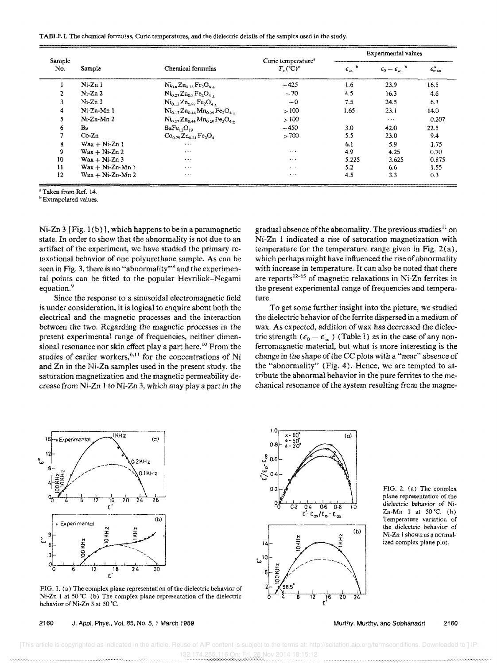| TABLE I. The chemical formulas, Curie temperatures, and the dielectric details of the samples used in the study. |  |  |  |
|------------------------------------------------------------------------------------------------------------------|--|--|--|
|------------------------------------------------------------------------------------------------------------------|--|--|--|

|               | Sample                           | Chemical formulas                                                                       | Curie temperature <sup>a</sup><br>$T_c$ (°C) <sup><math>\circ</math></sup> | <b>Experimental values</b> |                         |                        |
|---------------|----------------------------------|-----------------------------------------------------------------------------------------|----------------------------------------------------------------------------|----------------------------|-------------------------|------------------------|
| Sample<br>No. |                                  |                                                                                         |                                                                            | b<br>$\epsilon_{\infty}$   | $\epsilon_0-\epsilon_m$ | $\epsilon''_{\rm max}$ |
|               | Ni-Zn 1                          | $Ni_{0.6}Zn_{0.33}Fe_2O_{4+}$                                                           | $-425$                                                                     | 1.6                        | 23.9                    | 16.5                   |
| 2             | $Ni-Zn2$                         | $\mathrm{Ni_{0.27}Zn_{0.8}Fe_2O_4}$                                                     | $-70$                                                                      | 4.5                        | 16.3                    | 4.6                    |
| 3             | $Ni-Zn3$                         | $Ni0.13Zn0.87Fe2O4$                                                                     | $\sim 0$                                                                   | 7.5                        | 24.5                    | 6.3                    |
| 4             | Ni-Zn-Mn 1                       | $Ni_{0.17}Zn_{0.44}Mn_{0.29}Fe_2O_{4.4}$                                                | >100                                                                       | 1.65                       | 23.1                    | 14.0                   |
| S.            | $Ni-Zn-Mn2$                      | $\mathrm{Ni}_{0.22}\mathrm{Zn}_{0.44}\mathrm{Mn}_{0.32}\mathrm{Fe}_{2}\mathrm{O}_{4.4}$ | >100                                                                       |                            | $\cdots$                | 0.207                  |
| 6.            | Ba.                              | BaFe <sub>12</sub> O <sub>19</sub>                                                      | $-450$                                                                     | 3.0                        | 42.0                    | 22.5                   |
|               | $Co-Zn$                          | $Co0.79 Zn0.31 Fe2O4$                                                                   | > 700                                                                      | 5.5                        | 23.0                    | 9.4                    |
| 8             | $Wax + Ni-Zn1$                   | $\ddotsc$                                                                               |                                                                            | 6.1                        | 5.9                     | 1.75                   |
| 9             | $\text{Wax} + \text{Ni-Zn} 2$    | $\cdots$                                                                                | $\cdots$                                                                   | 4.9                        | 4.25                    | 0.70                   |
| 10            | $\text{Wax} + \text{Ni-Zn} 3$    | $\cdots$                                                                                | $\cdots$                                                                   | 5.225                      | 3.625                   | 0.875                  |
| 11            | $\text{Wax} + \text{Ni-Zn-Mn}$ 1 | $\cdots$                                                                                | $\cdots$                                                                   | 5.2                        | 6.6                     | 1.55                   |
| $12 \,$       | $Wax + Ni-Zn-Mn2$                | $\bullet$ $\bullet$ $\bullet$                                                           | $\cdots$                                                                   | 4.5                        | 3.3                     | 0.3                    |

"Taken from Ref. 14.

**b**Extrapolated values.

Ni-Zn 3 [Fig. 1 (b) ], which happens to be in a paramagnetic state. In order to show that the abnormality is not due to an artifact of the experiment, we have studied the primary relaxational behavior of one polyurethane sample. As can be seen in Fig. 3, there is no "abnormality"<sup>8</sup> and the experimental points can be fitted to the popular Hevriliak-Negami equation.<sup>9</sup>

Since the response to a sinusoidal electromagnetic field is under consideration, it is logical to enquire about both the electrical and the magnetic processes and the interaction between the two. Regarding the magnetic processes in the present experimental range of frequencies, neither dimensional resonance nor skin effect play a part here.<sup>10</sup> From the studies of earlier workers,<sup>6,11</sup> for the concentrations of Ni and Zn in the Ni-Zn samples used in the present study, the saturation magnetization and the magnetic permeability decrease from Ni-Zn 1 to Ni-Zn 3, which may playa part in the gradual absence of the abnomality. The previous studies<sup>11</sup> on Ni-Zn 1 indicated a rise of saturation magnetization with temperature for the temperature range given in Fig. 2(a), which perhaps might have influenced the rise of abnormality with increase in temperature. It can also be noted that there are reports<sup>12-15</sup> of magnetic relaxations in Ni-Zn ferrites in the present experimental range of frequencies and temperature.

To get some further insight into the picture, we studied the dielectric behavior of the ferrite dispersed in a medium of wax. As expected, addition of wax has decreased the dielectric strength ( $\epsilon_0 - \epsilon_{\infty}$ ) (Table I) as in the case of any nonferromagnetic material, but what is more interesting is the change in the shape of the CC plots with a "near" absence of the "abnormality" (Fig. 4). Hence, we are tempted to attribute the abnormal behavior in the pure ferrites to the mechanical resonance of the system resulting from the magne-



FIG. 1. (a) The complex plane representation of the dielectric behavior of Ni-Zn 1 at 50 °C. (b) The complex plane representation of the dielectric behavior of Ni-Zn 3 at 50 °C.

2160 J. Appl. Phys., Vol. 65, No.5, i March 1989



FIG. 2. (a) The complex plane representation of the dielectric behavior of Ni-Zn-Mn 1 at  $50^{\circ}$ C. (b) Temperature variation of the dielectric behavior of Ni-Zn I shown as a normalized complex plane plot.